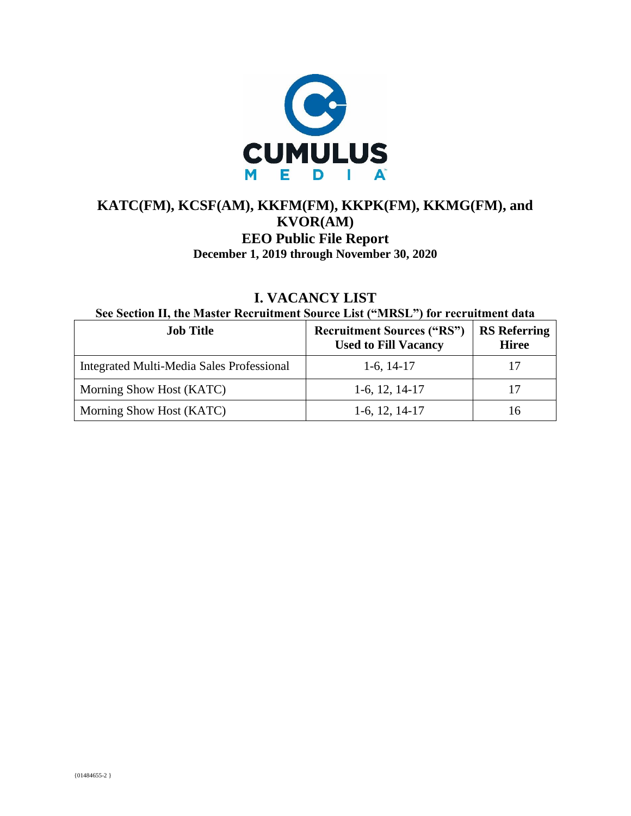

### **KATC(FM), KCSF(AM), KKFM(FM), KKPK(FM), KKMG(FM), and KVOR(AM) EEO Public File Report December 1, 2019 through November 30, 2020**

| <b>I. VACANCY LIST</b>                                                           |  |  |
|----------------------------------------------------------------------------------|--|--|
| See Section II, the Master Recruitment Source List ("MRSL") for recruitment data |  |  |

| <b>Job Title</b>                          | <b>Recruitment Sources ("RS")</b><br><b>Used to Fill Vacancy</b> | <b>RS</b> Referring<br><b>Hiree</b> |
|-------------------------------------------|------------------------------------------------------------------|-------------------------------------|
| Integrated Multi-Media Sales Professional | $1-6$ , $14-17$                                                  | 17                                  |
| Morning Show Host (KATC)                  | $1-6$ , 12, 14-17                                                | 17                                  |
| Morning Show Host (KATC)                  | $1-6$ , 12, 14-17                                                | Iб                                  |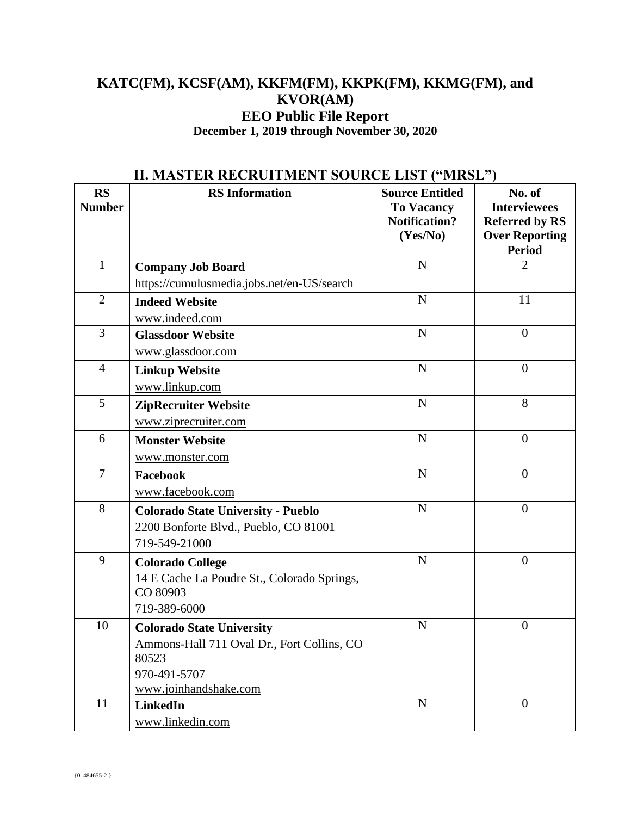### **KATC(FM), KCSF(AM), KKFM(FM), KKPK(FM), KKMG(FM), and KVOR(AM) EEO Public File Report December 1, 2019 through November 30, 2020**

|                            | н, мартек кескоп мент бооксе еют риков                                                              |                                                                                 |                                                                                                  |  |
|----------------------------|-----------------------------------------------------------------------------------------------------|---------------------------------------------------------------------------------|--------------------------------------------------------------------------------------------------|--|
| <b>RS</b><br><b>Number</b> | <b>RS</b> Information                                                                               | <b>Source Entitled</b><br><b>To Vacancy</b><br><b>Notification?</b><br>(Yes/No) | No. of<br><b>Interviewees</b><br><b>Referred by RS</b><br><b>Over Reporting</b><br><b>Period</b> |  |
| $\mathbf{1}$               | <b>Company Job Board</b>                                                                            | $\mathbf N$                                                                     | $\overline{2}$                                                                                   |  |
|                            | https://cumulusmedia.jobs.net/en-US/search                                                          |                                                                                 |                                                                                                  |  |
| $\overline{2}$             | <b>Indeed Website</b>                                                                               | $\mathbf N$                                                                     | 11                                                                                               |  |
|                            | www.indeed.com                                                                                      |                                                                                 |                                                                                                  |  |
| 3                          | <b>Glassdoor Website</b>                                                                            | $\mathbf N$                                                                     | $\overline{0}$                                                                                   |  |
|                            | www.glassdoor.com                                                                                   |                                                                                 |                                                                                                  |  |
| $\overline{4}$             | <b>Linkup Website</b>                                                                               | N                                                                               | $\boldsymbol{0}$                                                                                 |  |
|                            | www.linkup.com                                                                                      |                                                                                 |                                                                                                  |  |
| 5                          | <b>ZipRecruiter Website</b>                                                                         | $\mathbf N$                                                                     | 8                                                                                                |  |
|                            | www.ziprecruiter.com                                                                                |                                                                                 |                                                                                                  |  |
| 6                          | <b>Monster Website</b>                                                                              | $\mathbf N$                                                                     | $\boldsymbol{0}$                                                                                 |  |
|                            | www.monster.com                                                                                     |                                                                                 |                                                                                                  |  |
| $\tau$                     | Facebook                                                                                            | $\mathbf N$                                                                     | $\overline{0}$                                                                                   |  |
|                            | www.facebook.com                                                                                    |                                                                                 |                                                                                                  |  |
| 8                          | <b>Colorado State University - Pueblo</b><br>2200 Bonforte Blvd., Pueblo, CO 81001<br>719-549-21000 | $\mathbf N$                                                                     | $\theta$                                                                                         |  |
| 9                          | <b>Colorado College</b>                                                                             | $\mathbf N$                                                                     | $\overline{0}$                                                                                   |  |
|                            | 14 E Cache La Poudre St., Colorado Springs,<br>CO 80903                                             |                                                                                 |                                                                                                  |  |
|                            | 719-389-6000                                                                                        |                                                                                 |                                                                                                  |  |
| 10                         | <b>Colorado State University</b>                                                                    | $\mathbf N$                                                                     | $\boldsymbol{0}$                                                                                 |  |
|                            | Ammons-Hall 711 Oval Dr., Fort Collins, CO<br>80523                                                 |                                                                                 |                                                                                                  |  |
|                            | 970-491-5707                                                                                        |                                                                                 |                                                                                                  |  |
|                            | www.joinhandshake.com                                                                               |                                                                                 |                                                                                                  |  |
| 11                         | LinkedIn                                                                                            | $\mathbf N$                                                                     | $\boldsymbol{0}$                                                                                 |  |
|                            | www.linkedin.com                                                                                    |                                                                                 |                                                                                                  |  |

## **II. MASTER RECRUITMENT SOURCE LIST ("MRSL")**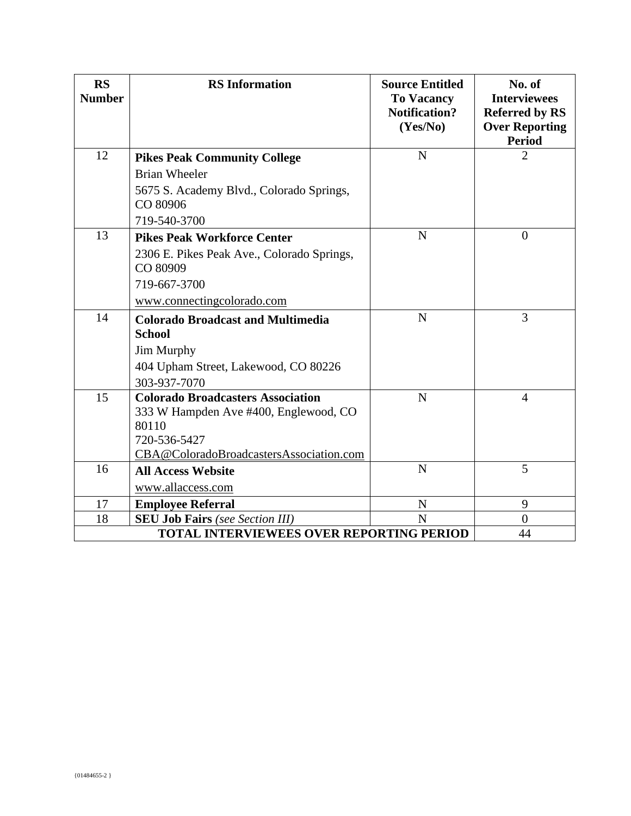| <b>RS</b><br><b>Number</b>                      | <b>RS</b> Information                                  | <b>Source Entitled</b><br><b>To Vacancy</b><br><b>Notification?</b><br>(Yes/No) | No. of<br><b>Interviewees</b><br><b>Referred by RS</b><br><b>Over Reporting</b><br><b>Period</b> |
|-------------------------------------------------|--------------------------------------------------------|---------------------------------------------------------------------------------|--------------------------------------------------------------------------------------------------|
| 12                                              | <b>Pikes Peak Community College</b>                    | N                                                                               | 2                                                                                                |
|                                                 | <b>Brian Wheeler</b>                                   |                                                                                 |                                                                                                  |
|                                                 | 5675 S. Academy Blvd., Colorado Springs,<br>CO 80906   |                                                                                 |                                                                                                  |
|                                                 | 719-540-3700                                           |                                                                                 |                                                                                                  |
| 13                                              | <b>Pikes Peak Workforce Center</b>                     | N                                                                               | $\overline{0}$                                                                                   |
|                                                 | 2306 E. Pikes Peak Ave., Colorado Springs,<br>CO 80909 |                                                                                 |                                                                                                  |
|                                                 | 719-667-3700                                           |                                                                                 |                                                                                                  |
|                                                 | www.connectingcolorado.com                             |                                                                                 |                                                                                                  |
| 14                                              | <b>Colorado Broadcast and Multimedia</b>               | $\mathbf N$                                                                     | 3                                                                                                |
|                                                 | <b>School</b>                                          |                                                                                 |                                                                                                  |
|                                                 | Jim Murphy                                             |                                                                                 |                                                                                                  |
|                                                 | 404 Upham Street, Lakewood, CO 80226                   |                                                                                 |                                                                                                  |
|                                                 | 303-937-7070                                           |                                                                                 |                                                                                                  |
| 15                                              | <b>Colorado Broadcasters Association</b>               | N                                                                               | $\overline{4}$                                                                                   |
|                                                 | 333 W Hampden Ave #400, Englewood, CO                  |                                                                                 |                                                                                                  |
|                                                 | 80110<br>720-536-5427                                  |                                                                                 |                                                                                                  |
|                                                 | CBA@ColoradoBroadcastersAssociation.com                |                                                                                 |                                                                                                  |
| 16                                              | <b>All Access Website</b>                              | $\mathbf N$                                                                     | 5                                                                                                |
|                                                 | www.allaccess.com                                      |                                                                                 |                                                                                                  |
| 17                                              | <b>Employee Referral</b>                               | ${\bf N}$                                                                       | 9                                                                                                |
| 18                                              | <b>SEU Job Fairs</b> (see Section III)                 | N                                                                               | $\Omega$                                                                                         |
| <b>TOTAL INTERVIEWEES OVER REPORTING PERIOD</b> |                                                        |                                                                                 | 44                                                                                               |